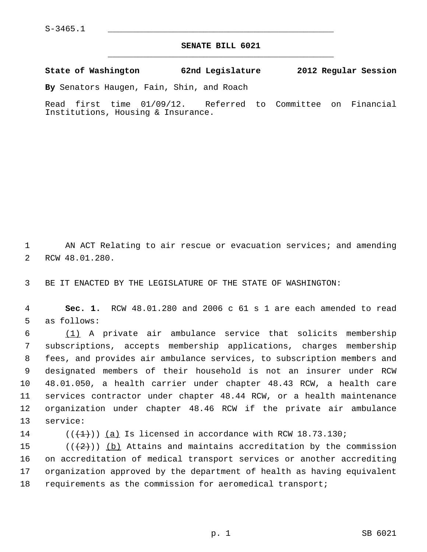## **SENATE BILL 6021** \_\_\_\_\_\_\_\_\_\_\_\_\_\_\_\_\_\_\_\_\_\_\_\_\_\_\_\_\_\_\_\_\_\_\_\_\_\_\_\_\_\_\_\_\_

## **State of Washington 62nd Legislature 2012 Regular Session**

**By** Senators Haugen, Fain, Shin, and Roach

Read first time 01/09/12. Referred to Committee on Financial Institutions, Housing & Insurance.

 1 AN ACT Relating to air rescue or evacuation services; and amending 2 RCW 48.01.280.

3 BE IT ENACTED BY THE LEGISLATURE OF THE STATE OF WASHINGTON:

 4 **Sec. 1.** RCW 48.01.280 and 2006 c 61 s 1 are each amended to read 5 as follows:

6  $(1)$  A private air ambulance service that solicits membership 7 subscriptions, accepts membership applications, charges membership 8 fees, and provides air ambulance services, to subscription members and 9 designated members of their household is not an insurer under RCW 10 48.01.050, a health carrier under chapter 48.43 RCW, a health care 11 services contractor under chapter 48.44 RCW, or a health maintenance 12 organization under chapter 48.46 RCW if the private air ambulance 13 service:

14  $((+1))$   $(a)$  Is licensed in accordance with RCW 18.73.130;

15  $((+2))$  (b) Attains and maintains accreditation by the commission 16 on accreditation of medical transport services or another accrediting 17 organization approved by the department of health as having equivalent 18 requirements as the commission for aeromedical transport;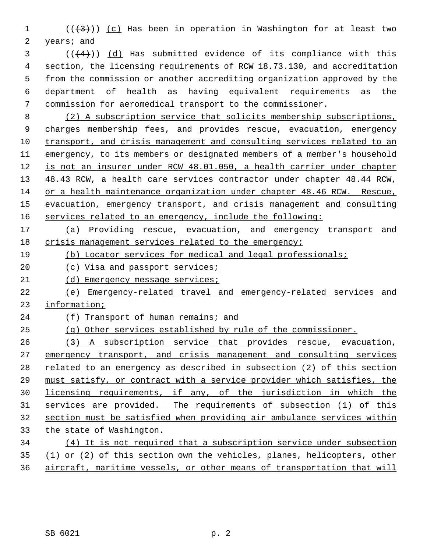1  $((+3))$   $(c)$  Has been in operation in Washington for at least two 2 years; and

 $(1 + 4)$ ) (d) Has submitted evidence of its compliance with this 4 section, the licensing requirements of RCW 18.73.130, and accreditation 5 from the commission or another accrediting organization approved by the 6 department of health as having equivalent requirements as the 7 commission for aeromedical transport to the commissioner.

8 (2) A subscription service that solicits membership subscriptions, charges membership fees, and provides rescue, evacuation, emergency transport, and crisis management and consulting services related to an emergency, to its members or designated members of a member's household is not an insurer under RCW 48.01.050, a health carrier under chapter 48.43 RCW, a health care services contractor under chapter 48.44 RCW, or a health maintenance organization under chapter 48.46 RCW. Rescue, evacuation, emergency transport, and crisis management and consulting services related to an emergency, include the following:

 (a) Providing rescue, evacuation, and emergency transport and crisis management services related to the emergency;

(b) Locator services for medical and legal professionals;

20 (c) Visa and passport services;

21 (d) Emergency message services;

 (e) Emergency-related travel and emergency-related services and information;

24 (f) Transport of human remains; and

(g) Other services established by rule of the commissioner.

 (3) A subscription service that provides rescue, evacuation, emergency transport, and crisis management and consulting services related to an emergency as described in subsection (2) of this section must satisfy, or contract with a service provider which satisfies, the licensing requirements, if any, of the jurisdiction in which the services are provided. The requirements of subsection (1) of this section must be satisfied when providing air ambulance services within the state of Washington. (4) It is not required that a subscription service under subsection

 (1) or (2) of this section own the vehicles, planes, helicopters, other aircraft, maritime vessels, or other means of transportation that will